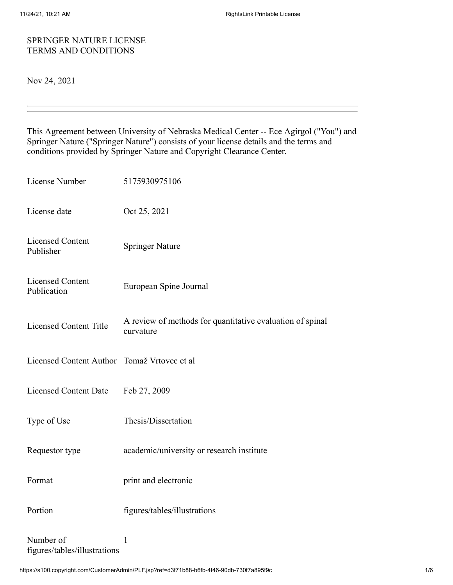## SPRINGER NATURE LICENSE TERMS AND CONDITIONS

Nov 24, 2021

This Agreement between University of Nebraska Medical Center -- Ece Agirgol ("You") and Springer Nature ("Springer Nature") consists of your license details and the terms and conditions provided by Springer Nature and Copyright Clearance Center.

| License Number                            | 5175930975106                                                          |
|-------------------------------------------|------------------------------------------------------------------------|
| License date                              | Oct 25, 2021                                                           |
| <b>Licensed Content</b><br>Publisher      | <b>Springer Nature</b>                                                 |
| <b>Licensed Content</b><br>Publication    | European Spine Journal                                                 |
| <b>Licensed Content Title</b>             | A review of methods for quantitative evaluation of spinal<br>curvature |
| <b>Licensed Content Author</b>            | Tomaž Vrtovec et al                                                    |
| <b>Licensed Content Date</b>              | Feb 27, 2009                                                           |
| Type of Use                               | Thesis/Dissertation                                                    |
| Requestor type                            | academic/university or research institute                              |
| Format                                    | print and electronic                                                   |
| Portion                                   | figures/tables/illustrations                                           |
| Number of<br>figures/tables/illustrations | $\mathbf{1}$                                                           |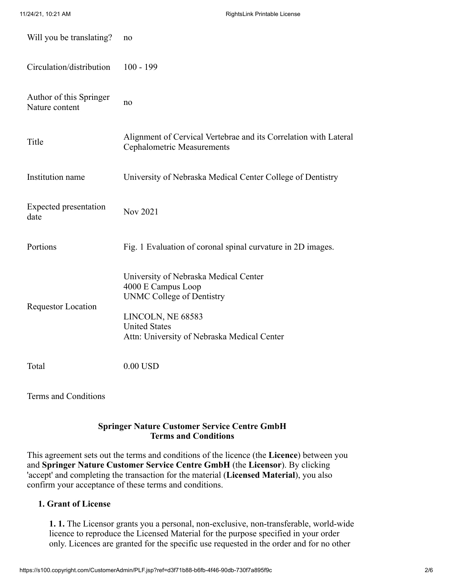| Will you be translating?                  | no                                                                                                                                                                                          |
|-------------------------------------------|---------------------------------------------------------------------------------------------------------------------------------------------------------------------------------------------|
| Circulation/distribution                  | $100 - 199$                                                                                                                                                                                 |
| Author of this Springer<br>Nature content | no                                                                                                                                                                                          |
| Title                                     | Alignment of Cervical Vertebrae and its Correlation with Lateral<br><b>Cephalometric Measurements</b>                                                                                       |
| Institution name                          | University of Nebraska Medical Center College of Dentistry                                                                                                                                  |
| <b>Expected presentation</b><br>date      | Nov 2021                                                                                                                                                                                    |
| Portions                                  | Fig. 1 Evaluation of coronal spinal curvature in 2D images.                                                                                                                                 |
| <b>Requestor Location</b>                 | University of Nebraska Medical Center<br>4000 E Campus Loop<br><b>UNMC College of Dentistry</b><br>LINCOLN, NE 68583<br><b>United States</b><br>Attn: University of Nebraska Medical Center |
| Total                                     | $0.00$ USD                                                                                                                                                                                  |
| Terms and Conditions                      |                                                                                                                                                                                             |

# **Springer Nature Customer Service Centre GmbH Terms and Conditions**

This agreement sets out the terms and conditions of the licence (the **Licence**) between you and **Springer Nature Customer Service Centre GmbH** (the **Licensor**). By clicking 'accept' and completing the transaction for the material (**Licensed Material**), you also confirm your acceptance of these terms and conditions.

# **1. Grant of License**

**1. 1.** The Licensor grants you a personal, non-exclusive, non-transferable, world-wide licence to reproduce the Licensed Material for the purpose specified in your order only. Licences are granted for the specific use requested in the order and for no other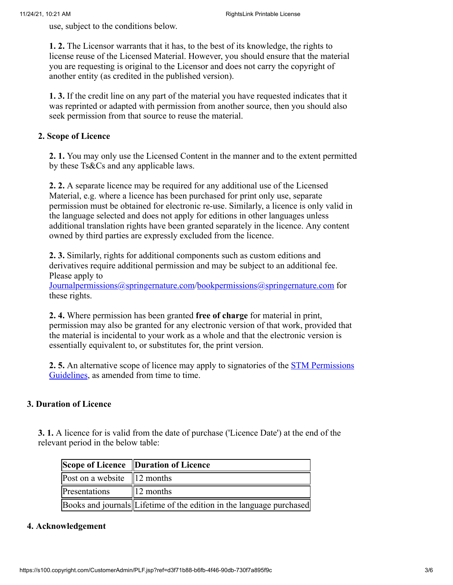use, subject to the conditions below.

**1. 2.** The Licensor warrants that it has, to the best of its knowledge, the rights to license reuse of the Licensed Material. However, you should ensure that the material you are requesting is original to the Licensor and does not carry the copyright of another entity (as credited in the published version).

**1. 3.** If the credit line on any part of the material you have requested indicates that it was reprinted or adapted with permission from another source, then you should also seek permission from that source to reuse the material.

### **2. Scope of Licence**

**2. 1.** You may only use the Licensed Content in the manner and to the extent permitted by these Ts&Cs and any applicable laws.

**2. 2.** A separate licence may be required for any additional use of the Licensed Material, e.g. where a licence has been purchased for print only use, separate permission must be obtained for electronic re-use. Similarly, a licence is only valid in the language selected and does not apply for editions in other languages unless additional translation rights have been granted separately in the licence. Any content owned by third parties are expressly excluded from the licence.

**2. 3.** Similarly, rights for additional components such as custom editions and derivatives require additional permission and may be subject to an additional fee. Please apply to

[Journalpermissions@springernature.com](mailto:Journalpermissions@springernature.com)/[bookpermissions@springernature.com](mailto:bookpermissions@springernature.com) for these rights.

**2. 4.** Where permission has been granted **free of charge** for material in print, permission may also be granted for any electronic version of that work, provided that the material is incidental to your work as a whole and that the electronic version is essentially equivalent to, or substitutes for, the print version.

**2. 5.** [An alternative scope of licence may apply to signatories of the STM Permissions](http://www.stm-assoc.org/intellectual-property/permissions/permissions-guidelines/) Guidelines, as amended from time to time.

# **3. Duration of Licence**

**3. 1.** A licence for is valid from the date of purchase ('Licence Date') at the end of the relevant period in the below table:

|                                 | Scope of Licence Duration of Licence                                 |
|---------------------------------|----------------------------------------------------------------------|
| Post on a website $\ 12$ months |                                                                      |
| Presentations                   | $\parallel$ 12 months                                                |
|                                 | Books and journals Lifetime of the edition in the language purchased |

#### **4. Acknowledgement**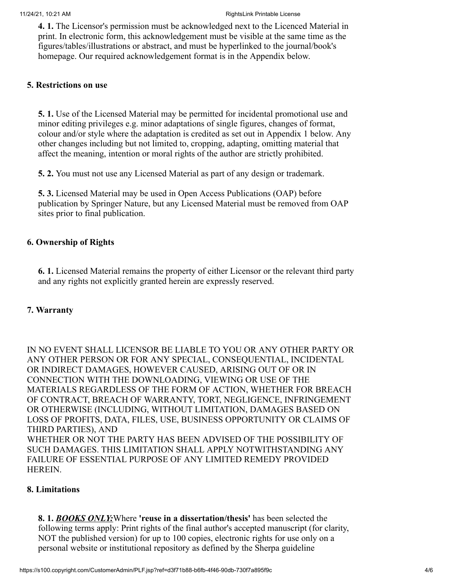**4. 1.** The Licensor's permission must be acknowledged next to the Licenced Material in print. In electronic form, this acknowledgement must be visible at the same time as the figures/tables/illustrations or abstract, and must be hyperlinked to the journal/book's homepage. Our required acknowledgement format is in the Appendix below.

## **5. Restrictions on use**

**5. 1.** Use of the Licensed Material may be permitted for incidental promotional use and minor editing privileges e.g. minor adaptations of single figures, changes of format, colour and/or style where the adaptation is credited as set out in Appendix 1 below. Any other changes including but not limited to, cropping, adapting, omitting material that affect the meaning, intention or moral rights of the author are strictly prohibited.

**5. 2.** You must not use any Licensed Material as part of any design or trademark.

**5. 3.** Licensed Material may be used in Open Access Publications (OAP) before publication by Springer Nature, but any Licensed Material must be removed from OAP sites prior to final publication.

# **6. Ownership of Rights**

**6. 1.** Licensed Material remains the property of either Licensor or the relevant third party and any rights not explicitly granted herein are expressly reserved.

## **7. Warranty**

IN NO EVENT SHALL LICENSOR BE LIABLE TO YOU OR ANY OTHER PARTY OR ANY OTHER PERSON OR FOR ANY SPECIAL, CONSEQUENTIAL, INCIDENTAL OR INDIRECT DAMAGES, HOWEVER CAUSED, ARISING OUT OF OR IN CONNECTION WITH THE DOWNLOADING, VIEWING OR USE OF THE MATERIALS REGARDLESS OF THE FORM OF ACTION, WHETHER FOR BREACH OF CONTRACT, BREACH OF WARRANTY, TORT, NEGLIGENCE, INFRINGEMENT OR OTHERWISE (INCLUDING, WITHOUT LIMITATION, DAMAGES BASED ON LOSS OF PROFITS, DATA, FILES, USE, BUSINESS OPPORTUNITY OR CLAIMS OF THIRD PARTIES), AND WHETHER OR NOT THE PARTY HAS BEEN ADVISED OF THE POSSIBILITY OF SUCH DAMAGES. THIS LIMITATION SHALL APPLY NOTWITHSTANDING ANY FAILURE OF ESSENTIAL PURPOSE OF ANY LIMITED REMEDY PROVIDED HEREIN.

#### **8. Limitations**

**8. 1.** *BOOKS ONLY:*Where **'reuse in a dissertation/thesis'** has been selected the following terms apply: Print rights of the final author's accepted manuscript (for clarity, NOT the published version) for up to 100 copies, electronic rights for use only on a personal website or institutional repository as defined by the Sherpa guideline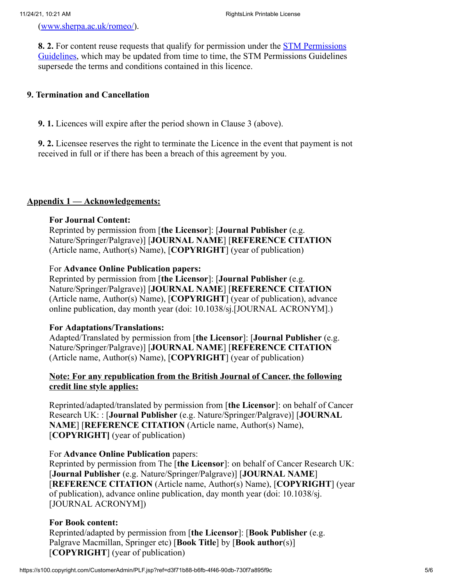[\(www.sherpa.ac.uk/romeo/](http://www.sherpa.ac.uk/romeo/)).

**8. 2.** For content reuse requests that qualify for permission under the STM Permissions [Guidelines, which may be updated from time to time, the STM Permissions Guidelines](https://www.stm-assoc.org/2020_09_30_STM_Permission_Guidelines_2020.pdf) supersede the terms and conditions contained in this licence.

## **9. Termination and Cancellation**

**9. 1.** Licences will expire after the period shown in Clause 3 (above).

**9. 2.** Licensee reserves the right to terminate the Licence in the event that payment is not received in full or if there has been a breach of this agreement by you.

### **Appendix 1 — Acknowledgements:**

### **For Journal Content:**

Reprinted by permission from [**the Licensor**]: [**Journal Publisher** (e.g. Nature/Springer/Palgrave)] [**JOURNAL NAME**] [**REFERENCE CITATION** (Article name, Author(s) Name), [**COPYRIGHT**] (year of publication)

### For **Advance Online Publication papers:**

Reprinted by permission from [**the Licensor**]: [**Journal Publisher** (e.g. Nature/Springer/Palgrave)] [**JOURNAL NAME**] [**REFERENCE CITATION** (Article name, Author(s) Name), [**COPYRIGHT**] (year of publication), advance online publication, day month year (doi: 10.1038/sj.[JOURNAL ACRONYM].)

#### **For Adaptations/Translations:**

Adapted/Translated by permission from [**the Licensor**]: [**Journal Publisher** (e.g. Nature/Springer/Palgrave)] [**JOURNAL NAME**] [**REFERENCE CITATION** (Article name, Author(s) Name), [**COPYRIGHT**] (year of publication)

# **Note: For any republication from the British Journal of Cancer, the following credit line style applies:**

Reprinted/adapted/translated by permission from [**the Licensor**]: on behalf of Cancer Research UK: : [**Journal Publisher** (e.g. Nature/Springer/Palgrave)] [**JOURNAL NAME**] [**REFERENCE CITATION** (Article name, Author(s) Name), [**COPYRIGHT]** (year of publication)

## For **Advance Online Publication** papers:

Reprinted by permission from The [**the Licensor**]: on behalf of Cancer Research UK: [**Journal Publisher** (e.g. Nature/Springer/Palgrave)] [**JOURNAL NAME**] [**REFERENCE CITATION** (Article name, Author(s) Name), [**COPYRIGHT**] (year of publication), advance online publication, day month year (doi: 10.1038/sj. [JOURNAL ACRONYM])

#### **For Book content:**

Reprinted/adapted by permission from [**the Licensor**]: [**Book Publisher** (e.g. Palgrave Macmillan, Springer etc) [**Book Title**] by [**Book author**(s)] [**COPYRIGHT**] (year of publication)